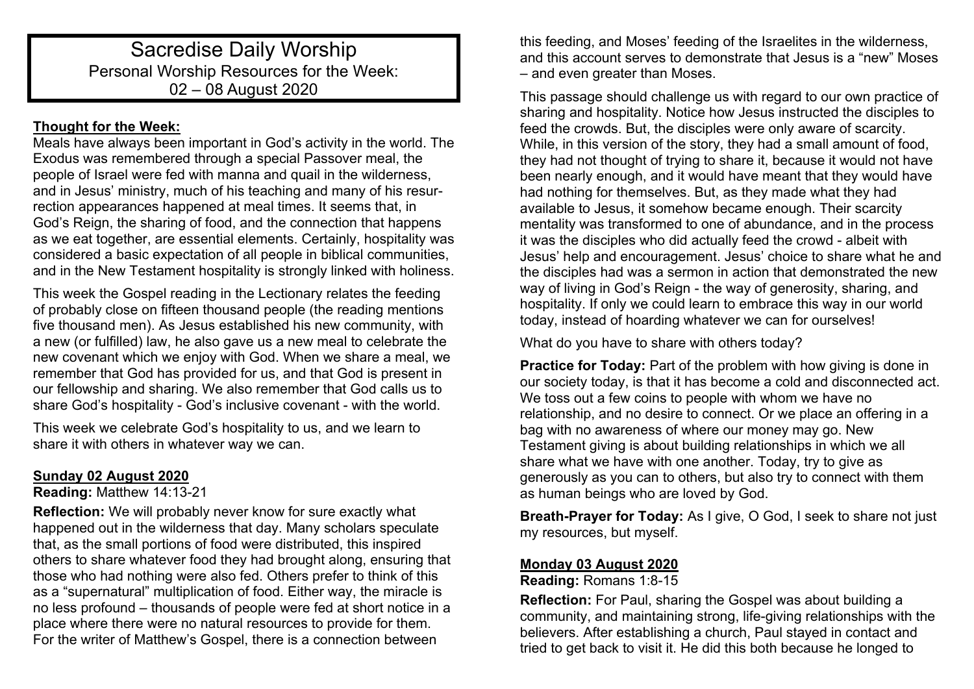# Sacredise Daily Worship Personal Worship Resources for the Week: 02 – 08 August 2020

## **Thought for the Week:**

Meals have always been important in God's activity in the world. The Exodus was remembered through a special Passover meal, the people of Israel were fed with manna and quail in the wilderness, and in Jesus' ministry, much of his teaching and many of his resurrection appearances happened at meal times. It seems that, in God's Reign, the sharing of food, and the connection that happens as we eat together, are essential elements. Certainly, hospitality was considered a basic expectation of all people in biblical communities, and in the New Testament hospitality is strongly linked with holiness.

This week the Gospel reading in the Lectionary relates the feeding of probably close on fifteen thousand people (the reading mentions five thousand men). As Jesus established his new community, with a new (or fulfilled) law, he also gave us a new meal to celebrate the new covenant which we enjoy with God. When we share a meal, we remember that God has provided for us, and that God is present in our fellowship and sharing. We also remember that God calls us to share God's hospitality - God's inclusive covenant - with the world.

This week we celebrate God's hospitality to us, and we learn to share it with others in whatever way we can.

## **Sunday 02 August 2020**

## **Reading:** Matthew 14:13-21

**Reflection:** We will probably never know for sure exactly what happened out in the wilderness that day. Many scholars speculate that, as the small portions of food were distributed, this inspired others to share whatever food they had brought along, ensuring that those who had nothing were also fed. Others prefer to think of this as a "supernatural" multiplication of food. Either way, the miracle is no less profound – thousands of people were fed at short notice in a place where there were no natural resources to provide for them. For the writer of Matthew's Gospel, there is a connection between

this feeding, and Moses' feeding of the Israelites in the wilderness, and this account serves to demonstrate that Jesus is a "new" Moses – and even greater than Moses.

This passage should challenge us with regard to our own practice of sharing and hospitality. Notice how Jesus instructed the disciples to feed the crowds. But, the disciples were only aware of scarcity. While, in this version of the story, they had a small amount of food, they had not thought of trying to share it, because it would not have been nearly enough, and it would have meant that they would have had nothing for themselves. But, as they made what they had available to Jesus, it somehow became enough. Their scarcity mentality was transformed to one of abundance, and in the process it was the disciples who did actually feed the crowd - albeit with Jesus' help and encouragement. Jesus' choice to share what he and the disciples had was a sermon in action that demonstrated the new way of living in God's Reign - the way of generosity, sharing, and hospitality. If only we could learn to embrace this way in our world today, instead of hoarding whatever we can for ourselves!

What do you have to share with others today?

**Practice for Today:** Part of the problem with how giving is done in our society today, is that it has become a cold and disconnected act. We toss out a few coins to people with whom we have no relationship, and no desire to connect. Or we place an offering in a bag with no awareness of where our money may go. New Testament giving is about building relationships in which we all share what we have with one another. Today, try to give as generously as you can to others, but also try to connect with them as human beings who are loved by God.

**Breath-Prayer for Today:** As I give, O God, I seek to share not just my resources, but myself.

## **Monday 03 August 2020**

**Reading:** Romans 1:8-15

**Reflection:** For Paul, sharing the Gospel was about building a community, and maintaining strong, life-giving relationships with the believers. After establishing a church, Paul stayed in contact and tried to get back to visit it. He did this both because he longed to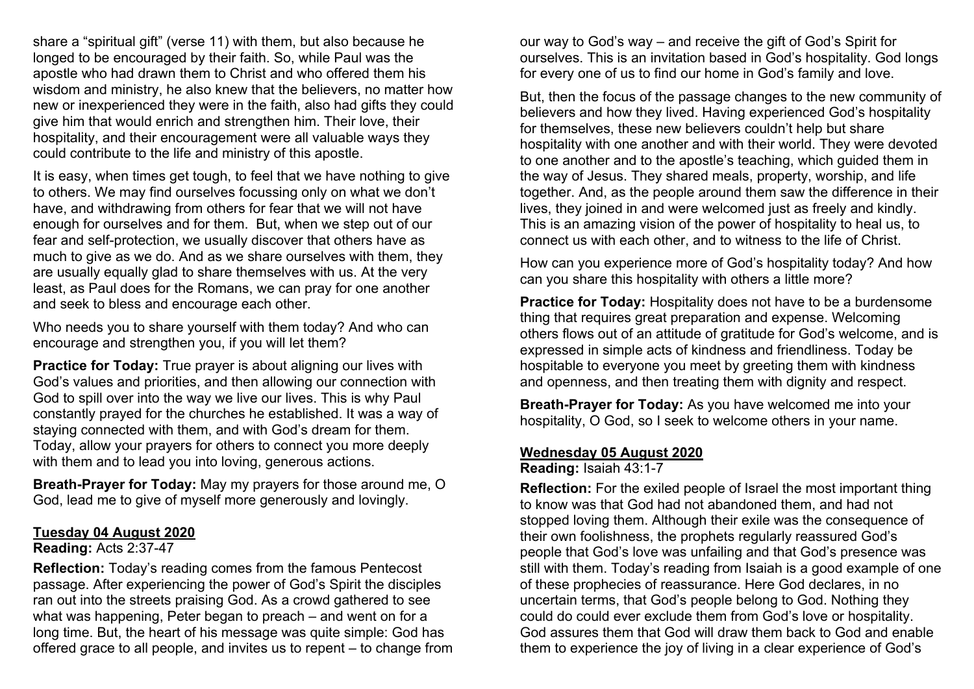share a "spiritual gift" (verse 11) with them, but also because he longed to be encouraged by their faith. So, while Paul was the apostle who had drawn them to Christ and who offered them his wisdom and ministry, he also knew that the believers, no matter how new or inexperienced they were in the faith, also had gifts they could give him that would enrich and strengthen him. Their love, their hospitality, and their encouragement were all valuable ways they could contribute to the life and ministry of this apostle.

It is easy, when times get tough, to feel that we have nothing to give to others. We may find ourselves focussing only on what we don't have, and withdrawing from others for fear that we will not have enough for ourselves and for them. But, when we step out of our fear and self-protection, we usually discover that others have as much to give as we do. And as we share ourselves with them, they are usually equally glad to share themselves with us. At the very least, as Paul does for the Romans, we can pray for one another and seek to bless and encourage each other.

Who needs you to share yourself with them today? And who can encourage and strengthen you, if you will let them?

**Practice for Today:** True prayer is about aligning our lives with God's values and priorities, and then allowing our connection with God to spill over into the way we live our lives. This is why Paul constantly prayed for the churches he established. It was a way of staying connected with them, and with God's dream for them. Today, allow your prayers for others to connect you more deeply with them and to lead you into loving, generous actions.

**Breath-Prayer for Today:** May my prayers for those around me, O God, lead me to give of myself more generously and lovingly.

### **Tuesday 04 August 2020**

### **Reading:** Acts 2:37-47

**Reflection:** Today's reading comes from the famous Pentecost passage. After experiencing the power of God's Spirit the disciples ran out into the streets praising God. As a crowd gathered to see what was happening, Peter began to preach – and went on for a long time. But, the heart of his message was quite simple: God has offered grace to all people, and invites us to repent – to change from our way to God's way – and receive the gift of God's Spirit for ourselves. This is an invitation based in God's hospitality. God longs for every one of us to find our home in God's family and love.

But, then the focus of the passage changes to the new community of believers and how they lived. Having experienced God's hospitality for themselves, these new believers couldn't help but share hospitality with one another and with their world. They were devoted to one another and to the apostle's teaching, which guided them in the way of Jesus. They shared meals, property, worship, and life together. And, as the people around them saw the difference in their lives, they joined in and were welcomed just as freely and kindly. This is an amazing vision of the power of hospitality to heal us, to connect us with each other, and to witness to the life of Christ.

How can you experience more of God's hospitality today? And how can you share this hospitality with others a little more?

**Practice for Today:** Hospitality does not have to be a burdensome thing that requires great preparation and expense. Welcoming others flows out of an attitude of gratitude for God's welcome, and is expressed in simple acts of kindness and friendliness. Today be hospitable to everyone you meet by greeting them with kindness and openness, and then treating them with dignity and respect.

**Breath-Prayer for Today:** As you have welcomed me into your hospitality, O God, so I seek to welcome others in your name.

## **Wednesday 05 August 2020**

**Reading:** Isaiah 43:1-7

**Reflection:** For the exiled people of Israel the most important thing to know was that God had not abandoned them, and had not stopped loving them. Although their exile was the consequence of their own foolishness, the prophets regularly reassured God's people that God's love was unfailing and that God's presence was still with them. Today's reading from Isaiah is a good example of one of these prophecies of reassurance. Here God declares, in no uncertain terms, that God's people belong to God. Nothing they could do could ever exclude them from God's love or hospitality. God assures them that God will draw them back to God and enable them to experience the joy of living in a clear experience of God's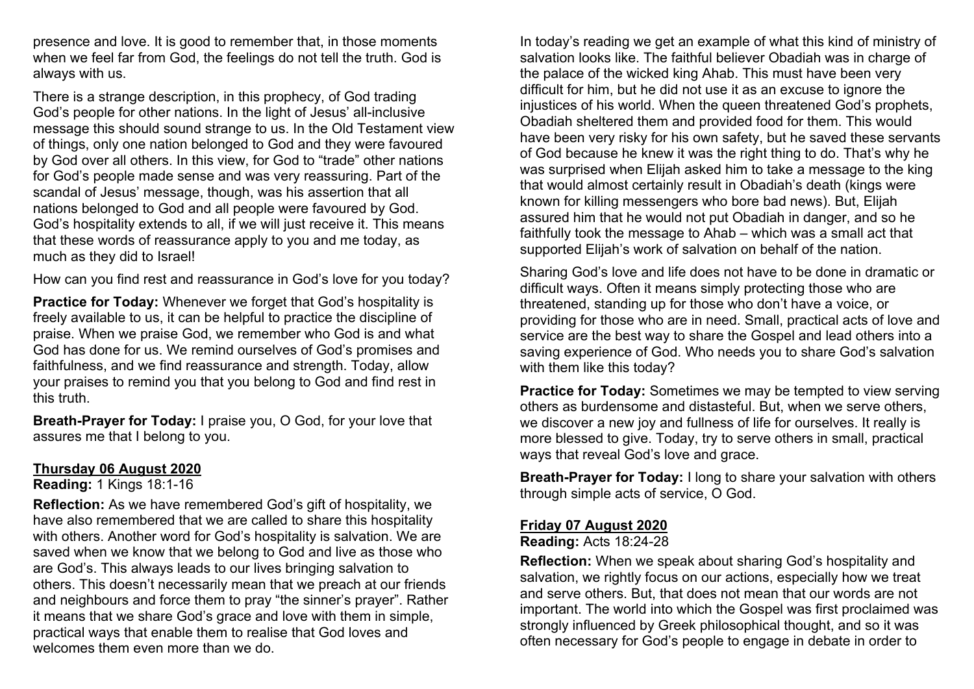presence and love. It is good to remember that, in those moments when we feel far from God, the feelings do not tell the truth. God is always with us.

There is a strange description, in this prophecy, of God trading God's people for other nations. In the light of Jesus' all-inclusive message this should sound strange to us. In the Old Testament view of things, only one nation belonged to God and they were favoured by God over all others. In this view, for God to "trade" other nations for God's people made sense and was very reassuring. Part of the scandal of Jesus' message, though, was his assertion that all nations belonged to God and all people were favoured by God. God's hospitality extends to all, if we will just receive it. This means that these words of reassurance apply to you and me today, as much as they did to Israel!

How can you find rest and reassurance in God's love for you today?

**Practice for Today:** Whenever we forget that God's hospitality is freely available to us, it can be helpful to practice the discipline of praise. When we praise God, we remember who God is and what God has done for us. We remind ourselves of God's promises and faithfulness, and we find reassurance and strength. Today, allow your praises to remind you that you belong to God and find rest in this truth.

**Breath-Prayer for Today:** I praise you, O God, for your love that assures me that I belong to you.

### **Thursday 06 August 2020**

**Reading:** 1 Kings 18:1-16

**Reflection:** As we have remembered God's gift of hospitality, we have also remembered that we are called to share this hospitality with others. Another word for God's hospitality is salvation. We are saved when we know that we belong to God and live as those who are God's. This always leads to our lives bringing salvation to others. This doesn't necessarily mean that we preach at our friends and neighbours and force them to pray "the sinner's prayer". Rather it means that we share God's grace and love with them in simple, practical ways that enable them to realise that God loves and welcomes them even more than we do.

In today's reading we get an example of what this kind of ministry of salvation looks like. The faithful believer Obadiah was in charge of the palace of the wicked king Ahab. This must have been very difficult for him, but he did not use it as an excuse to ignore the injustices of his world. When the queen threatened God's prophets, Obadiah sheltered them and provided food for them. This would have been very risky for his own safety, but he saved these servants of God because he knew it was the right thing to do. That's why he was surprised when Elijah asked him to take a message to the king that would almost certainly result in Obadiah's death (kings were known for killing messengers who bore bad news). But, Elijah assured him that he would not put Obadiah in danger, and so he faithfully took the message to Ahab – which was a small act that supported Elijah's work of salvation on behalf of the nation.

Sharing God's love and life does not have to be done in dramatic or difficult ways. Often it means simply protecting those who are threatened, standing up for those who don't have a voice, or providing for those who are in need. Small, practical acts of love and service are the best way to share the Gospel and lead others into a saving experience of God. Who needs you to share God's salvation with them like this today?

**Practice for Today:** Sometimes we may be tempted to view serving others as burdensome and distasteful. But, when we serve others, we discover a new joy and fullness of life for ourselves. It really is more blessed to give. Today, try to serve others in small, practical ways that reveal God's love and grace.

**Breath-Prayer for Today:** I long to share your salvation with others through simple acts of service, O God.

## **Friday 07 August 2020**

### **Reading:** Acts 18:24-28

**Reflection:** When we speak about sharing God's hospitality and salvation, we rightly focus on our actions, especially how we treat and serve others. But, that does not mean that our words are not important. The world into which the Gospel was first proclaimed was strongly influenced by Greek philosophical thought, and so it was often necessary for God's people to engage in debate in order to